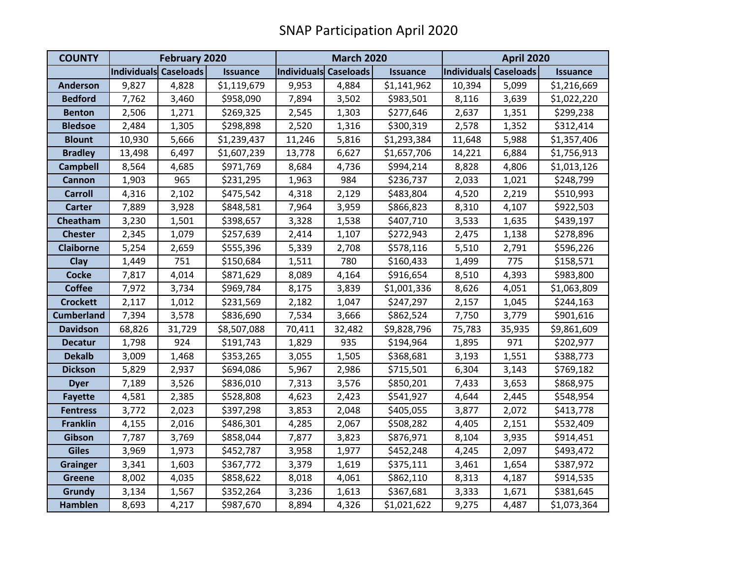| <b>COUNTY</b>     | <b>February 2020</b>  |        |                 | <b>March 2020</b>     |        |                 | <b>April 2020</b>     |        |                 |
|-------------------|-----------------------|--------|-----------------|-----------------------|--------|-----------------|-----------------------|--------|-----------------|
|                   | Individuals Caseloads |        | <b>Issuance</b> | Individuals Caseloads |        | <b>Issuance</b> | Individuals Caseloads |        | <b>Issuance</b> |
| <b>Anderson</b>   | 9,827                 | 4,828  | \$1,119,679     | 9,953                 | 4,884  | \$1,141,962     | 10,394                | 5,099  | \$1,216,669     |
| <b>Bedford</b>    | 7,762                 | 3,460  | \$958,090       | 7,894                 | 3,502  | \$983,501       | 8,116                 | 3,639  | \$1,022,220     |
| <b>Benton</b>     | 2,506                 | 1,271  | \$269,325       | 2,545                 | 1,303  | \$277,646       | 2,637                 | 1,351  | \$299,238       |
| <b>Bledsoe</b>    | 2,484                 | 1,305  | \$298,898       | 2,520                 | 1,316  | \$300,319       | 2,578                 | 1,352  | \$312,414       |
| <b>Blount</b>     | 10,930                | 5,666  | \$1,239,437     | 11,246                | 5,816  | \$1,293,384     | 11,648                | 5,988  | \$1,357,406     |
| <b>Bradley</b>    | 13,498                | 6,497  | \$1,607,239     | 13,778                | 6,627  | \$1,657,706     | 14,221                | 6,884  | \$1,756,913     |
| <b>Campbell</b>   | 8,564                 | 4,685  | \$971,769       | 8,684                 | 4,736  | \$994,214       | 8,828                 | 4,806  | \$1,013,126     |
| <b>Cannon</b>     | 1,903                 | 965    | \$231,295       | 1,963                 | 984    | \$236,737       | 2,033                 | 1,021  | \$248,799       |
| <b>Carroll</b>    | 4,316                 | 2,102  | \$475,542       | 4,318                 | 2,129  | \$483,804       | 4,520                 | 2,219  | \$510,993       |
| <b>Carter</b>     | 7,889                 | 3,928  | \$848,581       | 7,964                 | 3,959  | \$866,823       | 8,310                 | 4,107  | \$922,503       |
| Cheatham          | 3,230                 | 1,501  | \$398,657       | 3,328                 | 1,538  | \$407,710       | 3,533                 | 1,635  | \$439,197       |
| <b>Chester</b>    | 2,345                 | 1,079  | \$257,639       | 2,414                 | 1,107  | \$272,943       | 2,475                 | 1,138  | \$278,896       |
| <b>Claiborne</b>  | 5,254                 | 2,659  | \$555,396       | 5,339                 | 2,708  | \$578,116       | 5,510                 | 2,791  | \$596,226       |
| Clay              | 1,449                 | 751    | \$150,684       | 1,511                 | 780    | \$160,433       | 1,499                 | 775    | \$158,571       |
| <b>Cocke</b>      | 7,817                 | 4,014  | \$871,629       | 8,089                 | 4,164  | \$916,654       | 8,510                 | 4,393  | \$983,800       |
| <b>Coffee</b>     | 7,972                 | 3,734  | \$969,784       | 8,175                 | 3,839  | \$1,001,336     | 8,626                 | 4,051  | \$1,063,809     |
| <b>Crockett</b>   | 2,117                 | 1,012  | \$231,569       | 2,182                 | 1,047  | \$247,297       | 2,157                 | 1,045  | \$244,163       |
| <b>Cumberland</b> | 7,394                 | 3,578  | \$836,690       | 7,534                 | 3,666  | \$862,524       | 7,750                 | 3,779  | \$901,616       |
| <b>Davidson</b>   | 68,826                | 31,729 | \$8,507,088     | 70,411                | 32,482 | \$9,828,796     | 75,783                | 35,935 | \$9,861,609     |
| <b>Decatur</b>    | 1,798                 | 924    | \$191,743       | 1,829                 | 935    | \$194,964       | 1,895                 | 971    | \$202,977       |
| <b>Dekalb</b>     | 3,009                 | 1,468  | \$353,265       | 3,055                 | 1,505  | \$368,681       | 3,193                 | 1,551  | \$388,773       |
| <b>Dickson</b>    | 5,829                 | 2,937  | \$694,086       | 5,967                 | 2,986  | \$715,501       | 6,304                 | 3,143  | \$769,182       |
| <b>Dyer</b>       | 7,189                 | 3,526  | \$836,010       | 7,313                 | 3,576  | \$850,201       | 7,433                 | 3,653  | \$868,975       |
| <b>Fayette</b>    | 4,581                 | 2,385  | \$528,808       | 4,623                 | 2,423  | \$541,927       | 4,644                 | 2,445  | \$548,954       |
| <b>Fentress</b>   | 3,772                 | 2,023  | \$397,298       | 3,853                 | 2,048  | \$405,055       | 3,877                 | 2,072  | \$413,778       |
| <b>Franklin</b>   | 4,155                 | 2,016  | \$486,301       | 4,285                 | 2,067  | \$508,282       | 4,405                 | 2,151  | \$532,409       |
| Gibson            | 7,787                 | 3,769  | \$858,044       | 7,877                 | 3,823  | \$876,971       | 8,104                 | 3,935  | \$914,451       |
| <b>Giles</b>      | 3,969                 | 1,973  | \$452,787       | 3,958                 | 1,977  | \$452,248       | 4,245                 | 2,097  | \$493,472       |
| <b>Grainger</b>   | 3,341                 | 1,603  | \$367,772       | 3,379                 | 1,619  | \$375,111       | 3,461                 | 1,654  | \$387,972       |
| <b>Greene</b>     | 8,002                 | 4,035  | \$858,622       | 8,018                 | 4,061  | \$862,110       | 8,313                 | 4,187  | \$914,535       |
| <b>Grundy</b>     | 3,134                 | 1,567  | \$352,264       | 3,236                 | 1,613  | \$367,681       | 3,333                 | 1,671  | \$381,645       |
| <b>Hamblen</b>    | 8,693                 | 4,217  | \$987,670       | 8,894                 | 4,326  | \$1,021,622     | 9,275                 | 4,487  | \$1,073,364     |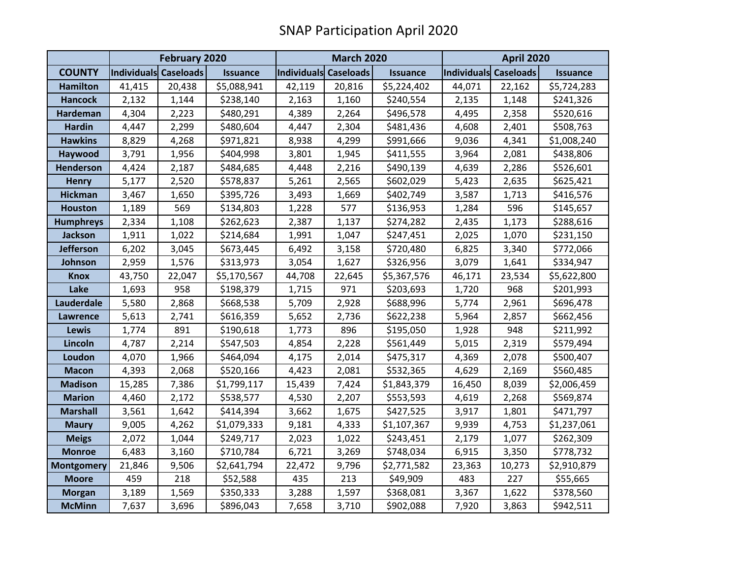|                   | <b>February 2020</b>  |        |                 | <b>March 2020</b>     |        |                 | <b>April 2020</b>     |        |                 |
|-------------------|-----------------------|--------|-----------------|-----------------------|--------|-----------------|-----------------------|--------|-----------------|
| <b>COUNTY</b>     | Individuals Caseloads |        | <b>Issuance</b> | Individuals Caseloads |        | <b>Issuance</b> | Individuals Caseloads |        | <b>Issuance</b> |
| <b>Hamilton</b>   | 41,415                | 20,438 | \$5,088,941     | 42,119                | 20,816 | \$5,224,402     | 44,071                | 22,162 | \$5,724,283     |
| <b>Hancock</b>    | 2,132                 | 1,144  | \$238,140       | 2,163                 | 1,160  | \$240,554       | 2,135                 | 1,148  | \$241,326       |
| <b>Hardeman</b>   | 4,304                 | 2,223  | \$480,291       | 4,389                 | 2,264  | \$496,578       | 4,495                 | 2,358  | \$520,616       |
| <b>Hardin</b>     | 4,447                 | 2,299  | \$480,604       | 4,447                 | 2,304  | \$481,436       | 4,608                 | 2,401  | \$508,763       |
| <b>Hawkins</b>    | 8,829                 | 4,268  | \$971,821       | 8,938                 | 4,299  | \$991,666       | 9,036                 | 4,341  | \$1,008,240     |
| Haywood           | 3,791                 | 1,956  | \$404,998       | 3,801                 | 1,945  | \$411,555       | 3,964                 | 2,081  | \$438,806       |
| Henderson         | 4,424                 | 2,187  | \$484,685       | 4,448                 | 2,216  | \$490,139       | 4,639                 | 2,286  | \$526,601       |
| <b>Henry</b>      | 5,177                 | 2,520  | \$578,837       | 5,261                 | 2,565  | \$602,029       | 5,423                 | 2,635  | \$625,421       |
| <b>Hickman</b>    | 3,467                 | 1,650  | \$395,726       | 3,493                 | 1,669  | \$402,749       | 3,587                 | 1,713  | \$416,576       |
| <b>Houston</b>    | 1,189                 | 569    | \$134,803       | 1,228                 | 577    | \$136,953       | 1,284                 | 596    | \$145,657       |
| <b>Humphreys</b>  | 2,334                 | 1,108  | \$262,623       | 2,387                 | 1,137  | \$274,282       | 2,435                 | 1,173  | \$288,616       |
| <b>Jackson</b>    | 1,911                 | 1,022  | \$214,684       | 1,991                 | 1,047  | \$247,451       | 2,025                 | 1,070  | \$231,150       |
| <b>Jefferson</b>  | 6,202                 | 3,045  | \$673,445       | 6,492                 | 3,158  | \$720,480       | 6,825                 | 3,340  | \$772,066       |
| Johnson           | 2,959                 | 1,576  | \$313,973       | 3,054                 | 1,627  | \$326,956       | 3,079                 | 1,641  | \$334,947       |
| <b>Knox</b>       | 43,750                | 22,047 | \$5,170,567     | 44,708                | 22,645 | \$5,367,576     | 46,171                | 23,534 | \$5,622,800     |
| Lake              | 1,693                 | 958    | \$198,379       | 1,715                 | 971    | \$203,693       | 1,720                 | 968    | \$201,993       |
| Lauderdale        | 5,580                 | 2,868  | \$668,538       | 5,709                 | 2,928  | \$688,996       | 5,774                 | 2,961  | \$696,478       |
| <b>Lawrence</b>   | 5,613                 | 2,741  | \$616,359       | 5,652                 | 2,736  | \$622,238       | 5,964                 | 2,857  | \$662,456       |
| Lewis             | 1,774                 | 891    | \$190,618       | 1,773                 | 896    | \$195,050       | 1,928                 | 948    | \$211,992       |
| Lincoln           | 4,787                 | 2,214  | \$547,503       | 4,854                 | 2,228  | \$561,449       | 5,015                 | 2,319  | \$579,494       |
| Loudon            | 4,070                 | 1,966  | \$464,094       | 4,175                 | 2,014  | \$475,317       | 4,369                 | 2,078  | \$500,407       |
| <b>Macon</b>      | 4,393                 | 2,068  | \$520,166       | 4,423                 | 2,081  | \$532,365       | 4,629                 | 2,169  | \$560,485       |
| <b>Madison</b>    | 15,285                | 7,386  | \$1,799,117     | 15,439                | 7,424  | \$1,843,379     | 16,450                | 8,039  | \$2,006,459     |
| <b>Marion</b>     | 4,460                 | 2,172  | \$538,577       | 4,530                 | 2,207  | \$553,593       | 4,619                 | 2,268  | \$569,874       |
| <b>Marshall</b>   | 3,561                 | 1,642  | \$414,394       | 3,662                 | 1,675  | \$427,525       | 3,917                 | 1,801  | \$471,797       |
| <b>Maury</b>      | 9,005                 | 4,262  | \$1,079,333     | 9,181                 | 4,333  | \$1,107,367     | 9,939                 | 4,753  | \$1,237,061     |
| <b>Meigs</b>      | 2,072                 | 1,044  | \$249,717       | 2,023                 | 1,022  | \$243,451       | 2,179                 | 1,077  | \$262,309       |
| <b>Monroe</b>     | 6,483                 | 3,160  | \$710,784       | 6,721                 | 3,269  | \$748,034       | 6,915                 | 3,350  | \$778,732       |
| <b>Montgomery</b> | 21,846                | 9,506  | \$2,641,794     | 22,472                | 9,796  | \$2,771,582     | 23,363                | 10,273 | \$2,910,879     |
| <b>Moore</b>      | 459                   | 218    | \$52,588        | 435                   | 213    | \$49,909        | 483                   | 227    | \$55,665        |
| <b>Morgan</b>     | 3,189                 | 1,569  | \$350,333       | 3,288                 | 1,597  | \$368,081       | 3,367                 | 1,622  | \$378,560       |
| <b>McMinn</b>     | 7,637                 | 3,696  | \$896,043       | 7,658                 | 3,710  | \$902,088       | 7,920                 | 3,863  | \$942,511       |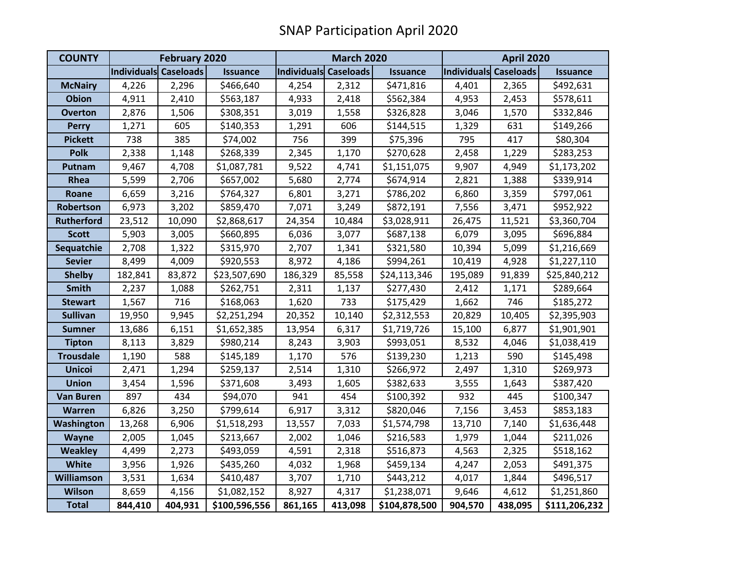| <b>COUNTY</b>     | <b>February 2020</b>  |         |                 | <b>March 2020</b>     |         |                 | <b>April 2020</b>     |         |                 |
|-------------------|-----------------------|---------|-----------------|-----------------------|---------|-----------------|-----------------------|---------|-----------------|
|                   | Individuals Caseloads |         | <b>Issuance</b> | Individuals Caseloads |         | <b>Issuance</b> | Individuals Caseloads |         | <b>Issuance</b> |
| <b>McNairy</b>    | 4,226                 | 2,296   | \$466,640       | 4,254                 | 2,312   | \$471,816       | 4,401                 | 2,365   | \$492,631       |
| <b>Obion</b>      | 4,911                 | 2,410   | \$563,187       | 4,933                 | 2,418   | \$562,384       | 4,953                 | 2,453   | \$578,611       |
| <b>Overton</b>    | 2,876                 | 1,506   | \$308,351       | 3,019                 | 1,558   | \$326,828       | 3,046                 | 1,570   | \$332,846       |
| <b>Perry</b>      | 1,271                 | 605     | \$140,353       | 1,291                 | 606     | \$144,515       | 1,329                 | 631     | \$149,266       |
| <b>Pickett</b>    | 738                   | 385     | \$74,002        | 756                   | 399     | \$75,396        | 795                   | 417     | \$80,304        |
| <b>Polk</b>       | 2,338                 | 1,148   | \$268,339       | 2,345                 | 1,170   | \$270,628       | 2,458                 | 1,229   | \$283,253       |
| Putnam            | 9,467                 | 4,708   | \$1,087,781     | 9,522                 | 4,741   | \$1,151,075     | 9,907                 | 4,949   | \$1,173,202     |
| Rhea              | 5,599                 | 2,706   | \$657,002       | 5,680                 | 2,774   | \$674,914       | 2,821                 | 1,388   | \$339,914       |
| Roane             | 6,659                 | 3,216   | \$764,327       | 6,801                 | 3,271   | \$786,202       | 6,860                 | 3,359   | \$797,061       |
| Robertson         | 6,973                 | 3,202   | \$859,470       | 7,071                 | 3,249   | \$872,191       | 7,556                 | 3,471   | \$952,922       |
| <b>Rutherford</b> | 23,512                | 10,090  | \$2,868,617     | 24,354                | 10,484  | \$3,028,911     | 26,475                | 11,521  | \$3,360,704     |
| <b>Scott</b>      | 5,903                 | 3,005   | \$660,895       | 6,036                 | 3,077   | \$687,138       | 6,079                 | 3,095   | \$696,884       |
| Sequatchie        | 2,708                 | 1,322   | \$315,970       | 2,707                 | 1,341   | \$321,580       | 10,394                | 5,099   | \$1,216,669     |
| <b>Sevier</b>     | 8,499                 | 4,009   | \$920,553       | 8,972                 | 4,186   | \$994,261       | 10,419                | 4,928   | \$1,227,110     |
| <b>Shelby</b>     | 182,841               | 83,872  | \$23,507,690    | 186,329               | 85,558  | \$24,113,346    | 195,089               | 91,839  | \$25,840,212    |
| <b>Smith</b>      | 2,237                 | 1,088   | \$262,751       | 2,311                 | 1,137   | \$277,430       | 2,412                 | 1,171   | \$289,664       |
| <b>Stewart</b>    | 1,567                 | 716     | \$168,063       | 1,620                 | 733     | \$175,429       | 1,662                 | 746     | \$185,272       |
| <b>Sullivan</b>   | 19,950                | 9,945   | \$2,251,294     | 20,352                | 10,140  | \$2,312,553     | 20,829                | 10,405  | \$2,395,903     |
| <b>Sumner</b>     | 13,686                | 6,151   | \$1,652,385     | 13,954                | 6,317   | \$1,719,726     | 15,100                | 6,877   | \$1,901,901     |
| <b>Tipton</b>     | 8,113                 | 3,829   | \$980,214       | 8,243                 | 3,903   | \$993,051       | 8,532                 | 4,046   | \$1,038,419     |
| <b>Trousdale</b>  | 1,190                 | 588     | \$145,189       | 1,170                 | 576     | \$139,230       | 1,213                 | 590     | \$145,498       |
| <b>Unicoi</b>     | 2,471                 | 1,294   | \$259,137       | 2,514                 | 1,310   | \$266,972       | 2,497                 | 1,310   | \$269,973       |
| <b>Union</b>      | 3,454                 | 1,596   | \$371,608       | 3,493                 | 1,605   | \$382,633       | 3,555                 | 1,643   | \$387,420       |
| <b>Van Buren</b>  | 897                   | 434     | \$94,070        | 941                   | 454     | \$100,392       | 932                   | 445     | \$100,347       |
| Warren            | 6,826                 | 3,250   | \$799,614       | 6,917                 | 3,312   | \$820,046       | 7,156                 | 3,453   | \$853,183       |
| Washington        | 13,268                | 6,906   | \$1,518,293     | 13,557                | 7,033   | \$1,574,798     | 13,710                | 7,140   | \$1,636,448     |
| <b>Wayne</b>      | 2,005                 | 1,045   | \$213,667       | 2,002                 | 1,046   | \$216,583       | 1,979                 | 1,044   | \$211,026       |
| <b>Weakley</b>    | 4,499                 | 2,273   | \$493,059       | 4,591                 | 2,318   | \$516,873       | 4,563                 | 2,325   | \$518,162       |
| <b>White</b>      | 3,956                 | 1,926   | \$435,260       | 4,032                 | 1,968   | \$459,134       | 4,247                 | 2,053   | \$491,375       |
| <b>Williamson</b> | 3,531                 | 1,634   | \$410,487       | 3,707                 | 1,710   | \$443,212       | 4,017                 | 1,844   | \$496,517       |
| <b>Wilson</b>     | 8,659                 | 4,156   | \$1,082,152     | 8,927                 | 4,317   | \$1,238,071     | 9,646                 | 4,612   | \$1,251,860     |
| <b>Total</b>      | 844,410               | 404,931 | \$100,596,556   | 861,165               | 413,098 | \$104,878,500   | 904,570               | 438,095 | \$111,206,232   |